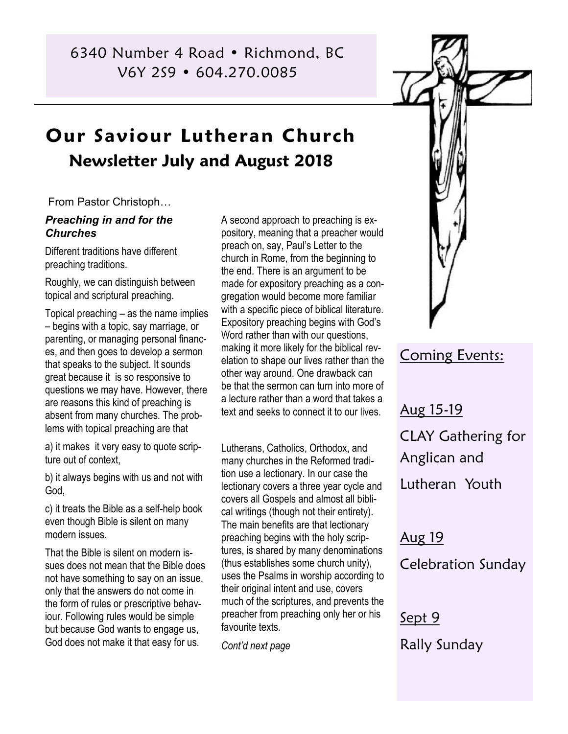6340 Number 4 Road • Richmond, BC V6Y 2S9 • 604.270.0085

# **Our Saviour Lutheran Church Newsletter July and August 2018**

From Pastor Christoph…

#### *Preaching in and for the Churches*

Different traditions have different preaching traditions.

Roughly, we can distinguish between topical and scriptural preaching.

Topical preaching – as the name implies – begins with a topic, say marriage, or parenting, or managing personal finances, and then goes to develop a sermon that speaks to the subject. It sounds great because it is so responsive to questions we may have. However, there are reasons this kind of preaching is absent from many churches. The problems with topical preaching are that

a) it makes it very easy to quote scripture out of context,

b) it always begins with us and not with God,

c) it treats the Bible as a self-help book even though Bible is silent on many modern issues.

That the Bible is silent on modern issues does not mean that the Bible does not have something to say on an issue, only that the answers do not come in the form of rules or prescriptive behaviour. Following rules would be simple but because God wants to engage us, God does not make it that easy for us.

A second approach to preaching is expository, meaning that a preacher would preach on, say, Paul's Letter to the church in Rome, from the beginning to the end. There is an argument to be made for expository preaching as a congregation would become more familiar with a specific piece of biblical literature. Expository preaching begins with God's Word rather than with our questions, making it more likely for the biblical revelation to shape our lives rather than the other way around. One drawback can be that the sermon can turn into more of a lecture rather than a word that takes a text and seeks to connect it to our lives.

Lutherans, Catholics, Orthodox, and many churches in the Reformed tradition use a lectionary. In our case the lectionary covers a three year cycle and covers all Gospels and almost all biblical writings (though not their entirety). The main benefits are that lectionary preaching begins with the holy scriptures, is shared by many denominations (thus establishes some church unity), uses the Psalms in worship according to their original intent and use, covers much of the scriptures, and prevents the preacher from preaching only her or his favourite texts.

*Cont'd next page*



# Coming Events:

Aug 15-19 CLAY Gathering for Anglican and Lutheran Youth

Aug 19 Celebration Sunday

Sept 9 Rally Sunday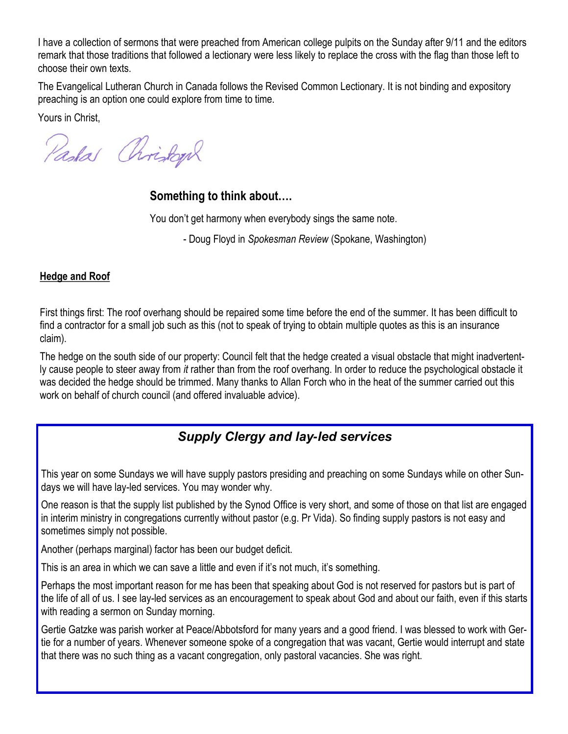I have a collection of sermons that were preached from American college pulpits on the Sunday after 9/11 and the editors remark that those traditions that followed a lectionary were less likely to replace the cross with the flag than those left to choose their own texts.

The Evangelical Lutheran Church in Canada follows the Revised Common Lectionary. It is not binding and expository preaching is an option one could explore from time to time.

Yours in Christ,

Paskas Christoph

# **Something to think about….**

You don't get harmony when everybody sings the same note.

- Doug Floyd in *Spokesman Review* (Spokane, Washington)

## **Hedge and Roof**

First things first: The roof overhang should be repaired some time before the end of the summer. It has been difficult to find a contractor for a small job such as this (not to speak of trying to obtain multiple quotes as this is an insurance claim).

The hedge on the south side of our property: Council felt that the hedge created a visual obstacle that might inadvertently cause people to steer away from *it* rather than from the roof overhang. In order to reduce the psychological obstacle it was decided the hedge should be trimmed. Many thanks to Allan Forch who in the heat of the summer carried out this work on behalf of church council (and offered invaluable advice).

# *Supply Clergy and lay-led services*

This year on some Sundays we will have supply pastors presiding and preaching on some Sundays while on other Sundays we will have lay-led services. You may wonder why.

One reason is that the supply list published by the Synod Office is very short, and some of those on that list are engaged in interim ministry in congregations currently without pastor (e.g. Pr Vida). So finding supply pastors is not easy and sometimes simply not possible.

Another (perhaps marginal) factor has been our budget deficit.

This is an area in which we can save a little and even if it's not much, it's something.

Perhaps the most important reason for me has been that speaking about God is not reserved for pastors but is part of the life of all of us. I see lay-led services as an encouragement to speak about God and about our faith, even if this starts with reading a sermon on Sunday morning.

Gertie Gatzke was parish worker at Peace/Abbotsford for many years and a good friend. I was blessed to work with Gertie for a number of years. Whenever someone spoke of a congregation that was vacant, Gertie would interrupt and state that there was no such thing as a vacant congregation, only pastoral vacancies. She was right.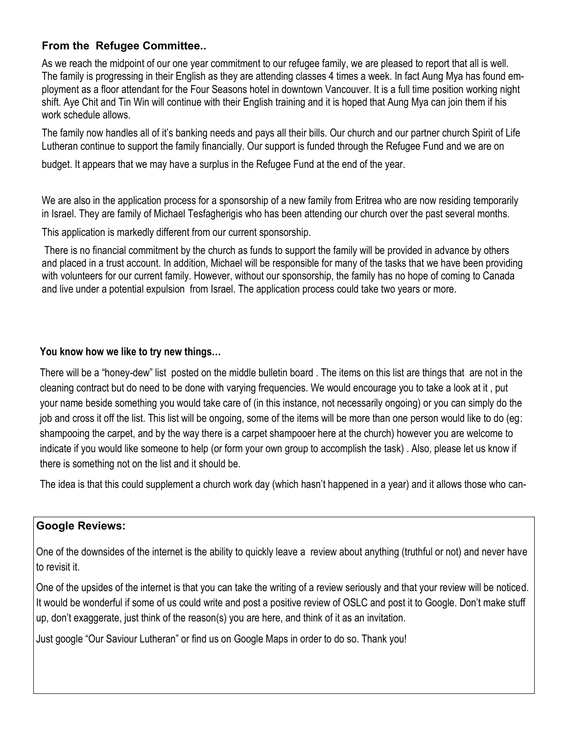### **From the Refugee Committee..**

As we reach the midpoint of our one year commitment to our refugee family, we are pleased to report that all is well. The family is progressing in their English as they are attending classes 4 times a week. In fact Aung Mya has found employment as a floor attendant for the Four Seasons hotel in downtown Vancouver. It is a full time position working night shift. Aye Chit and Tin Win will continue with their English training and it is hoped that Aung Mya can join them if his work schedule allows.

The family now handles all of it's banking needs and pays all their bills. Our church and our partner church Spirit of Life Lutheran continue to support the family financially. Our support is funded through the Refugee Fund and we are on

budget. It appears that we may have a surplus in the Refugee Fund at the end of the year.

We are also in the application process for a sponsorship of a new family from Eritrea who are now residing temporarily in Israel. They are family of Michael Tesfagherigis who has been attending our church over the past several months.

This application is markedly different from our current sponsorship.

There is no financial commitment by the church as funds to support the family will be provided in advance by others and placed in a trust account. In addition, Michael will be responsible for many of the tasks that we have been providing with volunteers for our current family. However, without our sponsorship, the family has no hope of coming to Canada and live under a potential expulsion from Israel. The application process could take two years or more.

#### **You know how we like to try new things…**

There will be a "honey-dew" list posted on the middle bulletin board . The items on this list are things that are not in the cleaning contract but do need to be done with varying frequencies. We would encourage you to take a look at it , put your name beside something you would take care of (in this instance, not necessarily ongoing) or you can simply do the job and cross it off the list. This list will be ongoing, some of the items will be more than one person would like to do (eg: shampooing the carpet, and by the way there is a carpet shampooer here at the church) however you are welcome to indicate if you would like someone to help (or form your own group to accomplish the task) . Also, please let us know if there is something not on the list and it should be.

The idea is that this could supplement a church work day (which hasn't happened in a year) and it allows those who can-

#### **Google Reviews:**

One of the downsides of the internet is the ability to quickly leave a review about anything (truthful or not) and never have to revisit it.

One of the upsides of the internet is that you can take the writing of a review seriously and that your review will be noticed. It would be wonderful if some of us could write and post a positive review of OSLC and post it to Google. Don't make stuff up, don't exaggerate, just think of the reason(s) you are here, and think of it as an invitation.

Just google "Our Saviour Lutheran" or find us on Google Maps in order to do so. Thank you!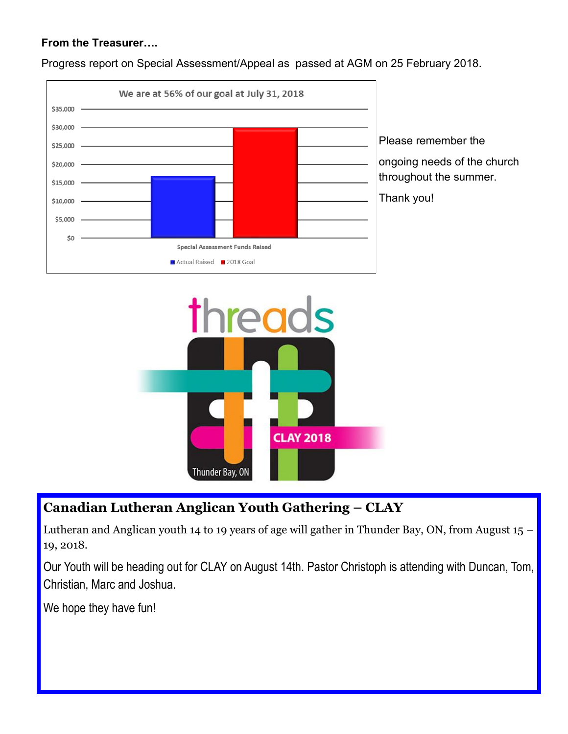### **From the Treasurer….**

Progress report on Special Assessment/Appeal as passed at AGM on 25 February 2018.



Please remember the ongoing needs of the church throughout the summer. Thank you!

threads **CLAY 2018** Thunder Bay, ON

# **Canadian Lutheran Anglican Youth Gathering – CLAY**

Lutheran and Anglican youth 14 to 19 years of age will gather in Thunder Bay, ON, from August  $15 -$ 19, 2018.

Our Youth will be heading out for CLAY on August 14th. Pastor Christoph is attending with Duncan, Tom, Christian, Marc and Joshua.

We hope they have fun!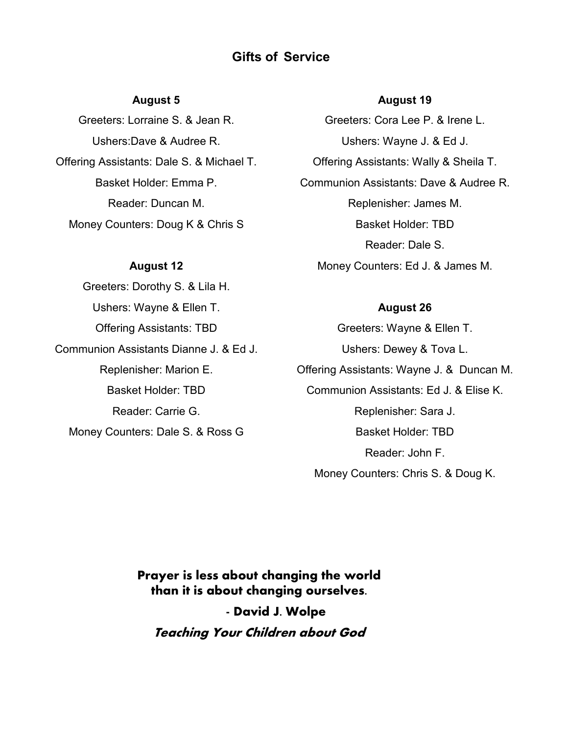## **Gifts of Service**

#### **August 5**

Greeters: Lorraine S. & Jean R. Ushers:Dave & Audree R. Offering Assistants: Dale S. & Michael T. Basket Holder: Emma P. Reader: Duncan M. Money Counters: Doug K & Chris S

#### **August 12**

Greeters: Dorothy S. & Lila H. Ushers: Wayne & Ellen T. Offering Assistants: TBD Communion Assistants Dianne J. & Ed J. Replenisher: Marion E. Basket Holder: TBD Reader: Carrie G. Money Counters: Dale S. & Ross G

#### **August 19**

Greeters: Cora Lee P. & Irene L. Ushers: Wayne J. & Ed J. Offering Assistants: Wally & Sheila T. Communion Assistants: Dave & Audree R. Replenisher: James M. Basket Holder: TBD Reader: Dale S. Money Counters: Ed J. & James M.

#### **August 26**

Greeters: Wayne & Ellen T. Ushers: Dewey & Tova L. Offering Assistants: Wayne J. & Duncan M. Communion Assistants: Ed J. & Elise K. Replenisher: Sara J. Basket Holder: TBD Reader: John F. Money Counters: Chris S. & Doug K.

**Prayer is less about changing the world than it is about changing ourselves. - David J. Wolpe Teaching Your Children about God**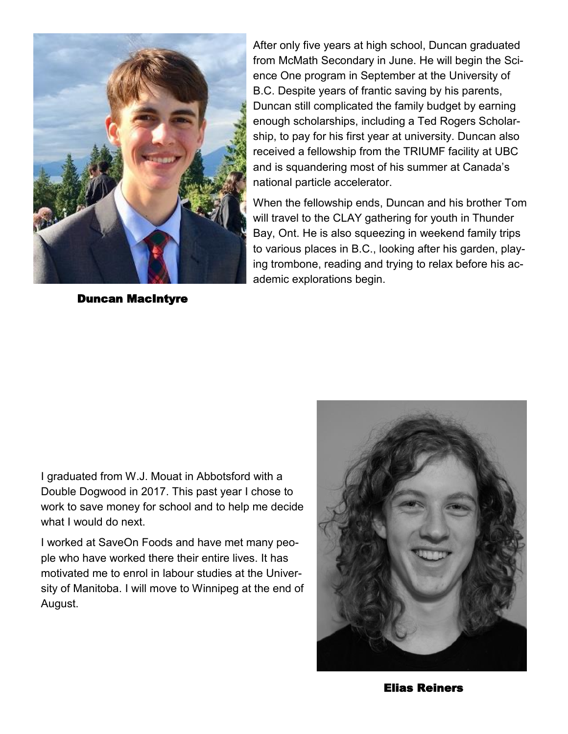

Duncan MacIntyre

After only five years at high school, Duncan graduated from McMath Secondary in June. He will begin the Science One program in September at the University of B.C. Despite years of frantic saving by his parents, Duncan still complicated the family budget by earning enough scholarships, including a Ted Rogers Scholarship, to pay for his first year at university. Duncan also received a fellowship from the TRIUMF facility at UBC and is squandering most of his summer at Canada's national particle accelerator.

When the fellowship ends, Duncan and his brother Tom will travel to the CLAY gathering for youth in Thunder Bay, Ont. He is also squeezing in weekend family trips to various places in B.C., looking after his garden, playing trombone, reading and trying to relax before his academic explorations begin.

I graduated from W.J. Mouat in Abbotsford with a Double Dogwood in 2017. This past year I chose to work to save money for school and to help me decide what I would do next.

I worked at SaveOn Foods and have met many people who have worked there their entire lives. It has motivated me to enrol in labour studies at the University of Manitoba. I will move to Winnipeg at the end of August.



Elias Reiners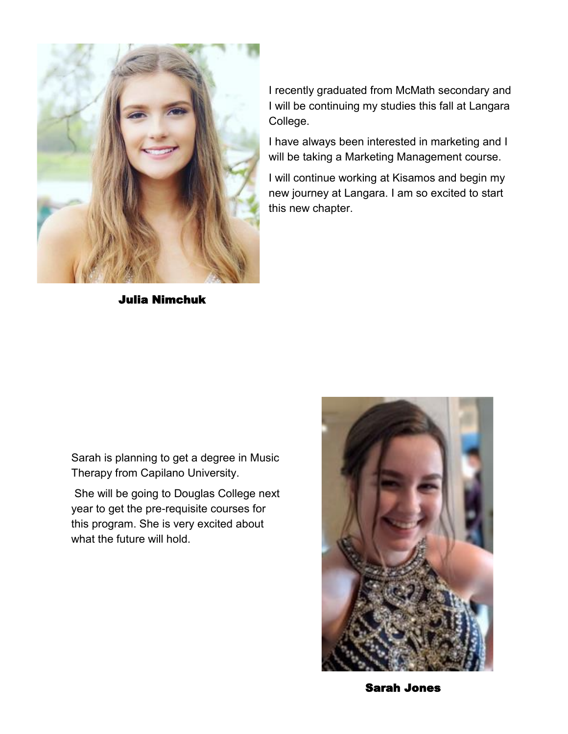

Julia Nimchuk

I recently graduated from McMath secondary and I will be continuing my studies this fall at Langara College.

I have always been interested in marketing and I will be taking a Marketing Management course.

I will continue working at Kisamos and begin my new journey at Langara. I am so excited to start this new chapter.

Sarah is planning to get a degree in Music Therapy from Capilano University.

She will be going to Douglas College next year to get the pre-requisite courses for this program. She is very excited about what the future will hold.



Sarah Jones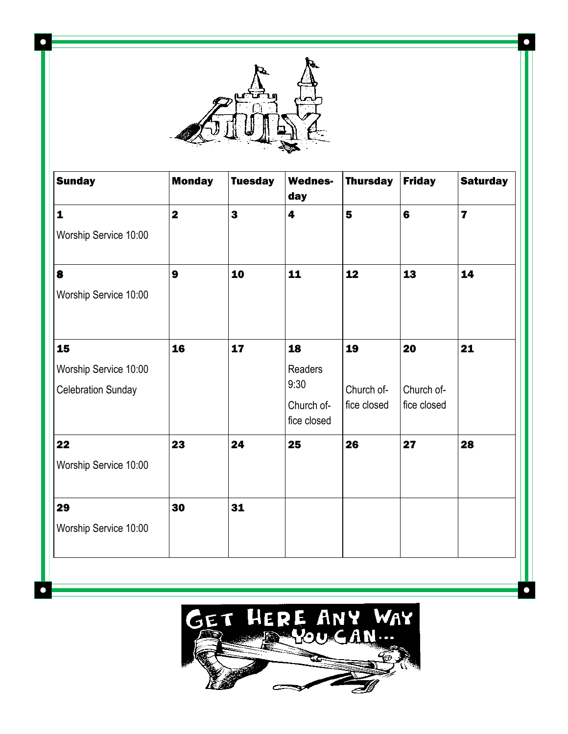

 $\bullet$ 

 $\bullet$ 

| <b>Sunday</b>             | <b>Monday</b>           | <b>Tuesday</b>          | <b>Wednes-</b><br>day     | <b>Thursday</b> | <b>Friday</b>  | <b>Saturday</b>         |
|---------------------------|-------------------------|-------------------------|---------------------------|-----------------|----------------|-------------------------|
| $\mathbf{1}$              | $\overline{\mathbf{2}}$ | $\overline{\mathbf{3}}$ | 4                         | 5               | $6\phantom{a}$ | $\overline{\mathbf{z}}$ |
| Worship Service 10:00     |                         |                         |                           |                 |                |                         |
| 8                         | $\boldsymbol{9}$        | 10                      | 11                        | 12              | 13             | 14                      |
| Worship Service 10:00     |                         |                         |                           |                 |                |                         |
| 15                        | 16                      | 17                      | 18                        | 19              | 20             | 21                      |
| Worship Service 10:00     |                         |                         | Readers                   |                 |                |                         |
| <b>Celebration Sunday</b> |                         |                         | 9:30                      | Church of-      | Church of-     |                         |
|                           |                         |                         | Church of-<br>fice closed | fice closed     | fice closed    |                         |
| 22                        | 23                      | 24                      | 25                        | 26              | 27             | 28                      |
| Worship Service 10:00     |                         |                         |                           |                 |                |                         |
| 29                        | 30                      | 31                      |                           |                 |                |                         |
| Worship Service 10:00     |                         |                         |                           |                 |                |                         |



 $\bullet$ 

Ċ